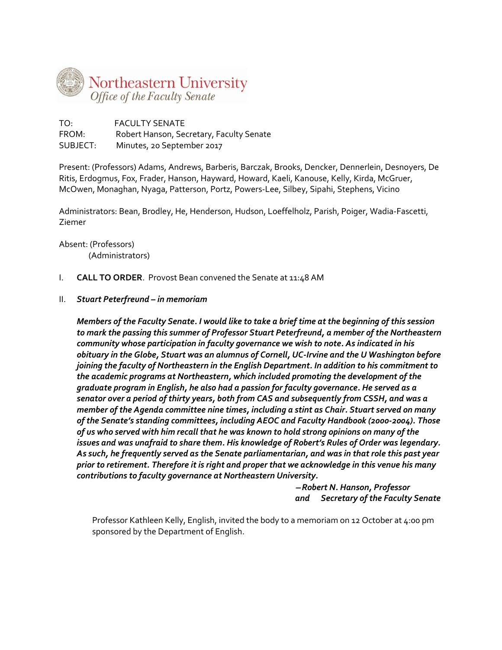

TO: FACULTY SENATE FROM: Robert Hanson, Secretary, Faculty Senate SUBJECT: Minutes, 20 September 2017

Present: (Professors) Adams, Andrews, Barberis, Barczak, Brooks, Dencker, Dennerlein, Desnoyers, De Ritis, Erdogmus, Fox, Frader, Hanson, Hayward, Howard, Kaeli, Kanouse, Kelly, Kirda, McGruer, McOwen, Monaghan, Nyaga, Patterson, Portz, Powers-Lee, Silbey, Sipahi, Stephens, Vicino

Administrators: Bean, Brodley, He, Henderson, Hudson, Loeffelholz, Parish, Poiger, Wadia-Fascetti, Ziemer

Absent: (Professors) (Administrators)

- I. **CALL TO ORDER**. Provost Bean convened the Senate at 11:48 AM
- II. *Stuart Peterfreund – in memoriam*

*Members of the Faculty Senate. I would like to take a brief time at the beginning of this session to mark the passing this summer of Professor Stuart Peterfreund, a member of the Northeastern community whose participation in faculty governance we wish to note. As indicated in his obituary in the Globe, Stuart was an alumnus of Cornell, UC-Irvine and the U Washington before joining the faculty of Northeastern in the English Department. In addition to his commitment to the academic programs at Northeastern, which included promoting the development of the graduate program in English, he also had a passion for faculty governance. He served as a senator over a period of thirty years, both from CAS and subsequently from CSSH, and was a member of the Agenda committee nine times, including a stint as Chair. Stuart served on many of the Senate's standing committees, including AEOC and Faculty Handbook (2000-2004). Those of us who served with him recall that he was known to hold strong opinions on many of the issues and was unafraid to share them. His knowledge of Robert's Rules of Order was legendary. As such, he frequently served as the Senate parliamentarian, and was in that role this past year prior to retirement. Therefore it is right and proper that we acknowledge in this venue his many contributions to faculty governance at Northeastern University.*

> − *Robert N. Hanson, Professor and Secretary of the Faculty Senate*

Professor Kathleen Kelly, English, invited the body to a memoriam on 12 October at 4:00 pm sponsored by the Department of English.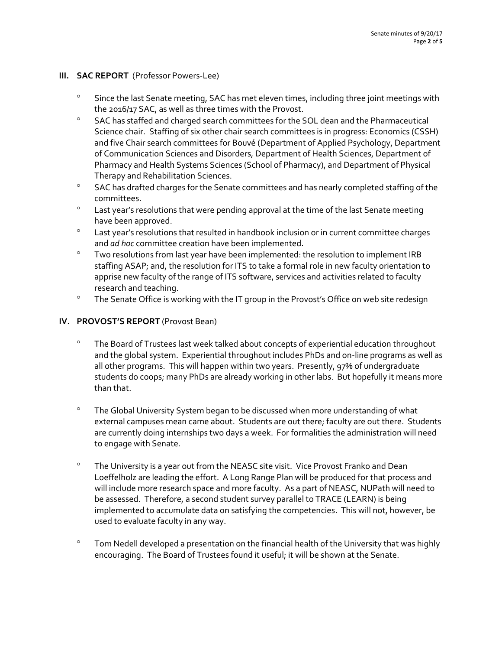### **III. SAC REPORT** (Professor Powers-Lee)

- ° Since the last Senate meeting, SAC has met eleven times, including three joint meetings with the 2016/17 SAC, as well as three times with the Provost.
- ° SAC has staffed and charged search committees for the SOL dean and the Pharmaceutical Science chair. Staffing of six other chair search committees is in progress: Economics (CSSH) and five Chair search committees for Bouvé (Department of Applied Psychology, Department of Communication Sciences and Disorders, Department of Health Sciences, Department of Pharmacy and Health Systems Sciences (School of Pharmacy), and Department of Physical Therapy and Rehabilitation Sciences.
- ° SAC has drafted charges for the Senate committees and has nearly completed staffing of the committees.
- ° Last year's resolutions that were pending approval at the time of the last Senate meeting have been approved.
- ° Last year's resolutions that resulted in handbook inclusion or in current committee charges and *ad hoc* committee creation have been implemented.
- ° Two resolutions from last year have been implemented: the resolution to implement IRB staffing ASAP; and, the resolution for ITS to take a formal role in new faculty orientation to apprise new faculty of the range of ITS software, services and activities related to faculty research and teaching.
- ° The Senate Office is working with the IT group in the Provost's Office on web site redesign

## **IV. PROVOST'S REPORT** (Provost Bean)

- ° The Board of Trustees last week talked about concepts of experiential education throughout and the global system. Experiential throughout includes PhDs and on-line programs as well as all other programs. This will happen within two years. Presently, 97% of undergraduate students do coops; many PhDs are already working in other labs. But hopefully it means more than that.
- ° The Global University System began to be discussed when more understanding of what external campuses mean came about. Students are out there; faculty are out there. Students are currently doing internships two days a week. For formalities the administration will need to engage with Senate.
- ° The University is a year out from the NEASC site visit. Vice Provost Franko and Dean Loeffelholz are leading the effort. A Long Range Plan will be produced for that process and will include more research space and more faculty. As a part of NEASC, NUPath will need to be assessed. Therefore, a second student survey parallel to TRACE (LEARN) is being implemented to accumulate data on satisfying the competencies. This will not, however, be used to evaluate faculty in any way.
- ° Tom Nedell developed a presentation on the financial health of the University that was highly encouraging. The Board of Trustees found it useful; it will be shown at the Senate.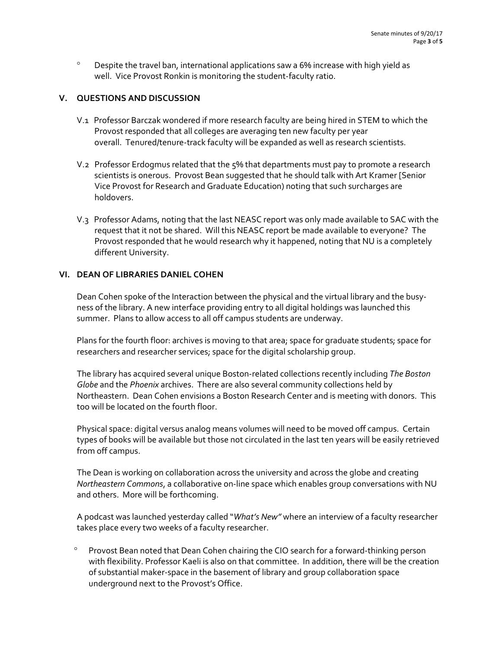° Despite the travel ban, international applications saw a 6% increase with high yield as well. Vice Provost Ronkin is monitoring the student-faculty ratio.

### **V. QUESTIONS AND DISCUSSION**

- V.1 Professor Barczak wondered if more research faculty are being hired in STEM to which the Provost responded that all colleges are averaging ten new faculty per year overall. Tenured/tenure-track faculty will be expanded as well as research scientists.
- V.2 Professor Erdogmus related that the 5% that departments must pay to promote a research scientists is onerous. Provost Bean suggested that he should talk with Art Kramer [Senior Vice Provost for Research and Graduate Education) noting that such surcharges are holdovers.
- V.3 Professor Adams, noting that the last NEASC report was only made available to SAC with the request that it not be shared. Will this NEASC report be made available to everyone? The Provost responded that he would research why it happened, noting that NU is a completely different University.

## **VI. DEAN OF LIBRARIES DANIEL COHEN**

Dean Cohen spoke of the Interaction between the physical and the virtual library and the busyness of the library. A new interface providing entry to all digital holdings was launched this summer. Plans to allow access to all off campus students are underway.

Plans for the fourth floor: archives is moving to that area; space for graduate students; space for researchers and researcher services; space for the digital scholarship group.

The library has acquired several unique Boston-related collections recently including *The Boston Globe* and the *Phoenix* archives. There are also several community collections held by Northeastern. Dean Cohen envisions a Boston Research Center and is meeting with donors. This too will be located on the fourth floor.

Physical space: digital versus analog means volumes will need to be moved off campus. Certain types of books will be available but those not circulated in the last ten years will be easily retrieved from off campus.

The Dean is working on collaboration across the university and across the globe and creating *Northeastern Commons*, a collaborative on-line space which enables group conversations with NU and others. More will be forthcoming.

A podcast was launched yesterday called "*What's New"* where an interview of a faculty researcher takes place every two weeks of a faculty researcher.

Provost Bean noted that Dean Cohen chairing the CIO search for a forward-thinking person with flexibility. Professor Kaeli is also on that committee. In addition, there will be the creation of substantial maker-space in the basement of library and group collaboration space underground next to the Provost's Office.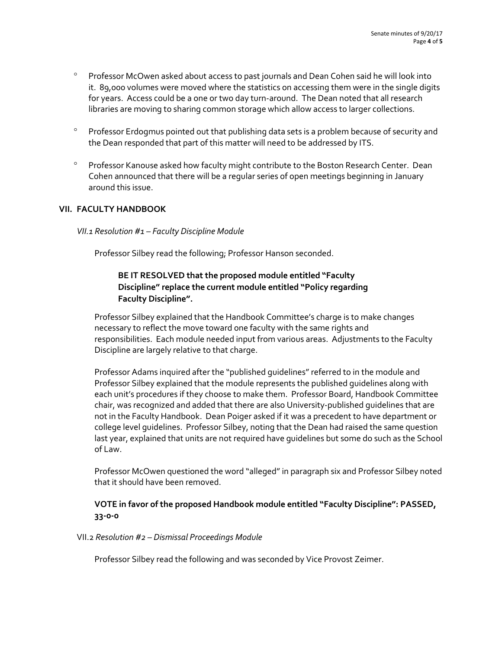- ° Professor McOwen asked about access to past journals and Dean Cohen said he will look into it. 89,000 volumes were moved where the statistics on accessing them were in the single digits for years. Access could be a one or two day turn-around. The Dean noted that all research libraries are moving to sharing common storage which allow access to larger collections.
- ° Professor Erdogmus pointed out that publishing data sets is a problem because of security and the Dean responded that part of this matter will need to be addressed by ITS.
- ° Professor Kanouse asked how faculty might contribute to the Boston Research Center. Dean Cohen announced that there will be a regular series of open meetings beginning in January around this issue.

## **VII. FACULTY HANDBOOK**

### *VII.1 Resolution #1 – Faculty Discipline Module*

Professor Silbey read the following; Professor Hanson seconded.

# **BE IT RESOLVED that the proposed module entitled "Faculty Discipline" replace the current module entitled "Policy regarding Faculty Discipline".**

Professor Silbey explained that the Handbook Committee's charge is to make changes necessary to reflect the move toward one faculty with the same rights and responsibilities. Each module needed input from various areas. Adjustments to the Faculty Discipline are largely relative to that charge.

Professor Adams inquired after the "published guidelines" referred to in the module and Professor Silbey explained that the module represents the published guidelines along with each unit's procedures if they choose to make them. Professor Board, Handbook Committee chair, was recognized and added that there are also University-published guidelines that are not in the Faculty Handbook. Dean Poiger asked if it was a precedent to have department or college level guidelines. Professor Silbey, noting that the Dean had raised the same question last year, explained that units are not required have guidelines but some do such as the School of Law.

Professor McOwen questioned the word "alleged" in paragraph six and Professor Silbey noted that it should have been removed.

## **VOTE in favor of the proposed Handbook module entitled "Faculty Discipline": PASSED, 33-0-0**

### VII.2 *Resolution #2 – Dismissal Proceedings Module*

Professor Silbey read the following and was seconded by Vice Provost Zeimer.